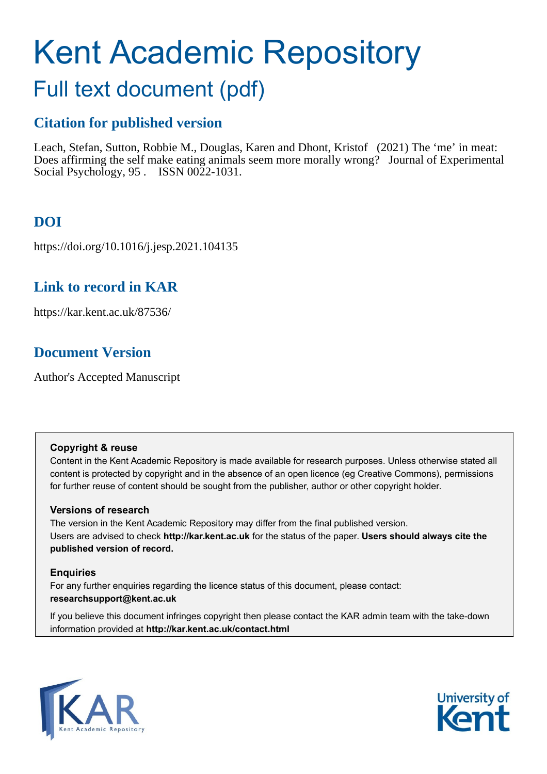# Kent Academic Repository

## Full text document (pdf)

## **Citation for published version**

Leach, Stefan, Sutton, Robbie M., Douglas, Karen and Dhont, Kristof (2021) The 'me' in meat: Does affirming the self make eating animals seem more morally wrong? Journal of Experimental Social Psychology, 95 . ISSN 0022-1031.

## **DOI**

https://doi.org/10.1016/j.jesp.2021.104135

## **Link to record in KAR**

https://kar.kent.ac.uk/87536/

## **Document Version**

Author's Accepted Manuscript

#### **Copyright & reuse**

Content in the Kent Academic Repository is made available for research purposes. Unless otherwise stated all content is protected by copyright and in the absence of an open licence (eg Creative Commons), permissions for further reuse of content should be sought from the publisher, author or other copyright holder.

#### **Versions of research**

The version in the Kent Academic Repository may differ from the final published version. Users are advised to check **http://kar.kent.ac.uk** for the status of the paper. **Users should always cite the published version of record.**

#### **Enquiries**

For any further enquiries regarding the licence status of this document, please contact: **researchsupport@kent.ac.uk**

If you believe this document infringes copyright then please contact the KAR admin team with the take-down information provided at **http://kar.kent.ac.uk/contact.html**



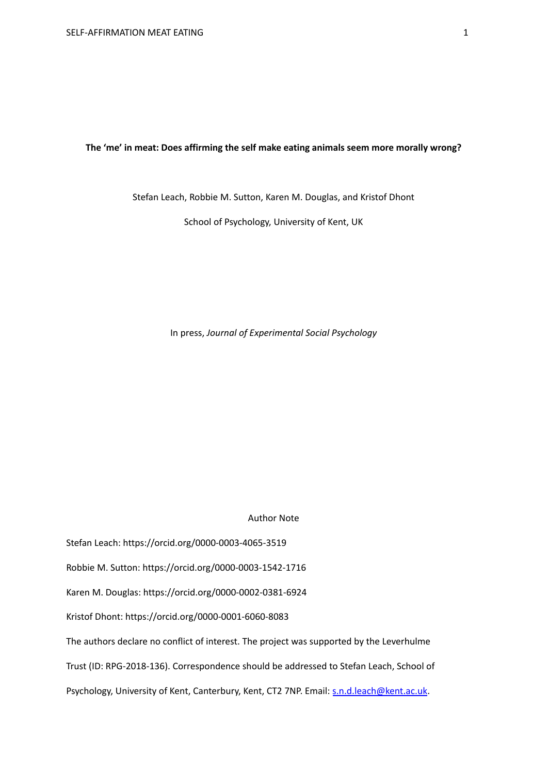#### **The 'me' in meat: Does affirming the self make eating animals seem more morally wrong?**

Stefan Leach, Robbie M. Sutton, Karen M. Douglas, and Kristof Dhont

School of Psychology, University of Kent, UK

In press, *Journal of Experimental Social Psychology*

Author Note

Stefan Leach: https://orcid.org/0000-0003-4065-3519

Robbie M. Sutton: https://orcid.org/0000-0003-1542-1716

Karen M. Douglas: https://orcid.org/0000-0002-0381-6924

Kristof Dhont: https://orcid.org/0000-0001-6060-8083

The authors declare no conflict of interest. The project was supported by the Leverhulme

Trust (ID: RPG-2018-136). Correspondence should be addressed to Stefan Leach, School of

Psychology, University of Kent, Canterbury, Kent, CT2 7NP. Email: [s.n.d.leach@kent.ac.uk.](mailto:s.n.d.leach@kent.ac.uk)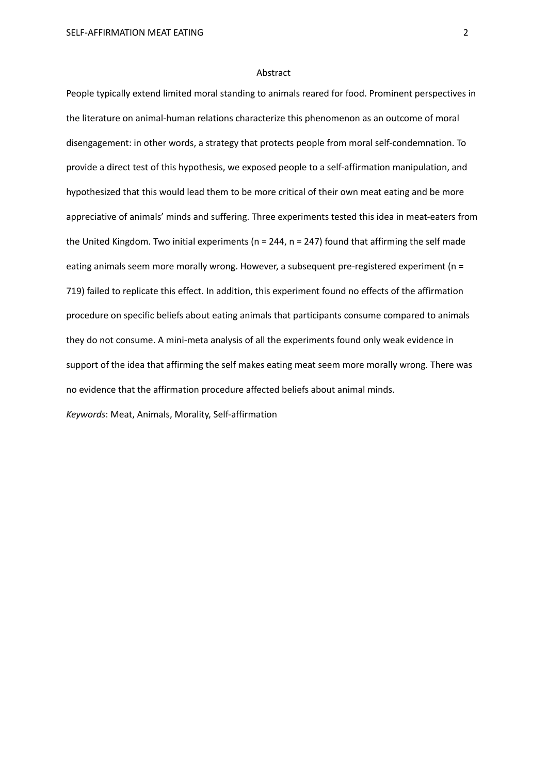#### Abstract

People typically extend limited moral standing to animals reared for food. Prominent perspectives in the literature on animal-human relations characterize this phenomenon as an outcome of moral disengagement: in other words, a strategy that protects people from moral self-condemnation. To provide a direct test of this hypothesis, we exposed people to a self-affirmation manipulation, and hypothesized that this would lead them to be more critical of their own meat eating and be more appreciative of animals' minds and suffering. Three experiments tested this idea in meat-eaters from the United Kingdom. Two initial experiments ( $n = 244$ ,  $n = 247$ ) found that affirming the self made eating animals seem more morally wrong. However, a subsequent pre-registered experiment (n = 719) failed to replicate this effect. In addition, this experiment found no effects of the affirmation procedure on specific beliefs about eating animals that participants consume compared to animals they do not consume. A mini-meta analysis of all the experiments found only weak evidence in support of the idea that affirming the self makes eating meat seem more morally wrong. There was no evidence that the affirmation procedure affected beliefs about animal minds.

*Keywords*: Meat, Animals, Morality, Self-affirmation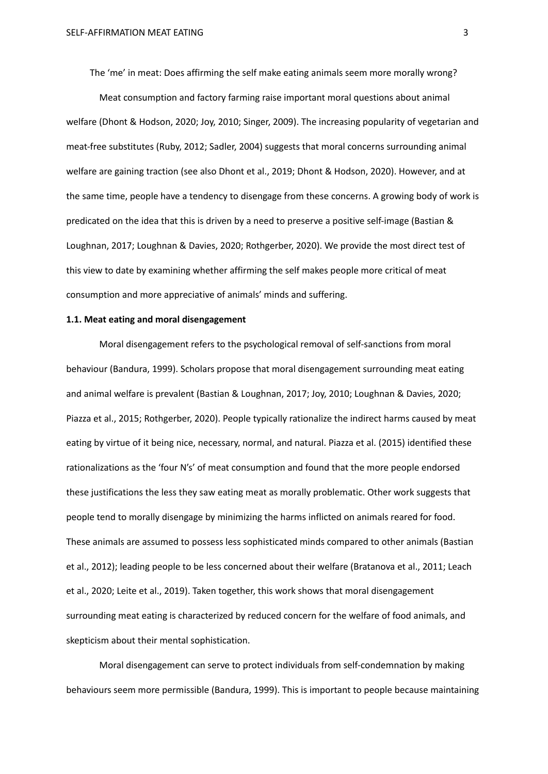The 'me' in meat: Does affirming the self make eating animals seem more morally wrong?

Meat consumption and factory farming raise important moral questions about animal welfare (Dhont & Hodson, 2020; Joy, 2010; Singer, 2009). The increasing popularity of vegetarian and meat-free substitutes (Ruby, 2012; Sadler, 2004) suggests that moral concerns surrounding animal welfare are gaining traction (see also Dhont et al., 2019; Dhont & Hodson, 2020). However, and at the same time, people have a tendency to disengage from these concerns. A growing body of work is predicated on the idea that this is driven by a need to preserve a positive self-image (Bastian & Loughnan, 2017; Loughnan & Davies, 2020; Rothgerber, 2020). We provide the most direct test of this view to date by examining whether affirming the self makes people more critical of meat consumption and more appreciative of animals' minds and suffering.

#### **1.1. Meat eating and moral disengagement**

Moral disengagement refers to the psychological removal of self-sanctions from moral behaviour (Bandura, 1999). Scholars propose that moral disengagement surrounding meat eating and animal welfare is prevalent (Bastian & Loughnan, 2017; Joy, 2010; Loughnan & Davies, 2020; Piazza et al., 2015; Rothgerber, 2020). People typically rationalize the indirect harms caused by meat eating by virtue of it being nice, necessary, normal, and natural. Piazza et al. (2015) identified these rationalizations as the 'four N's' of meat consumption and found that the more people endorsed these justifications the less they saw eating meat as morally problematic. Other work suggests that people tend to morally disengage by minimizing the harms inflicted on animals reared for food. These animals are assumed to possess less sophisticated minds compared to other animals (Bastian et al., 2012); leading people to be less concerned about their welfare (Bratanova et al., 2011; Leach et al., 2020; Leite et al., 2019). Taken together, this work shows that moral disengagement surrounding meat eating is characterized by reduced concern for the welfare of food animals, and skepticism about their mental sophistication.

Moral disengagement can serve to protect individuals from self-condemnation by making behaviours seem more permissible (Bandura, 1999). This is important to people because maintaining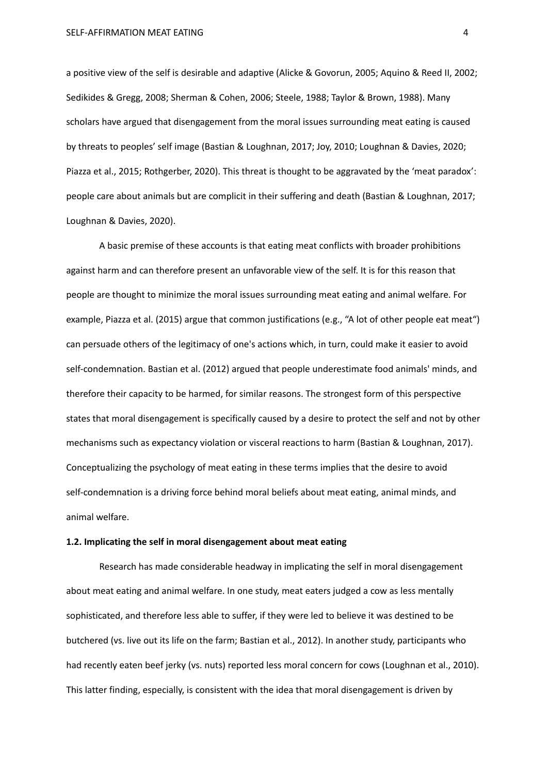SELF-AFFIRMATION MEAT EATING 4

a positive view of the self is desirable and adaptive (Alicke & Govorun, 2005; Aquino & Reed II, 2002; Sedikides & Gregg, 2008; Sherman & Cohen, 2006; Steele, 1988; Taylor & Brown, 1988). Many scholars have argued that disengagement from the moral issues surrounding meat eating is caused by threats to peoples' self image (Bastian & Loughnan, 2017; Joy, 2010; Loughnan & Davies, 2020; Piazza et al., 2015; Rothgerber, 2020). This threat is thought to be aggravated by the 'meat paradox': people care about animals but are complicit in their suffering and death (Bastian & Loughnan, 2017; Loughnan & Davies, 2020).

A basic premise of these accounts is that eating meat conflicts with broader prohibitions against harm and can therefore present an unfavorable view of the self. It is for this reason that people are thought to minimize the moral issues surrounding meat eating and animal welfare. For example, Piazza et al. (2015) argue that common justifications (e.g., "A lot of other people eat meat") can persuade others of the legitimacy of one's actions which, in turn, could make it easier to avoid self-condemnation. Bastian et al. (2012) argued that people underestimate food animals' minds, and therefore their capacity to be harmed, for similar reasons. The strongest form of this perspective states that moral disengagement is specifically caused by a desire to protect the self and not by other mechanisms such as expectancy violation or visceral reactions to harm (Bastian & Loughnan, 2017). Conceptualizing the psychology of meat eating in these terms implies that the desire to avoid self-condemnation is a driving force behind moral beliefs about meat eating, animal minds, and animal welfare.

#### **1.2. Implicating the self in moral disengagement about meat eating**

Research has made considerable headway in implicating the self in moral disengagement about meat eating and animal welfare. In one study, meat eaters judged a cow as less mentally sophisticated, and therefore less able to suffer, if they were led to believe it was destined to be butchered (vs. live out its life on the farm; Bastian et al., 2012). In another study, participants who had recently eaten beef jerky (vs. nuts) reported less moral concern for cows (Loughnan et al., 2010). This latter finding, especially, is consistent with the idea that moral disengagement is driven by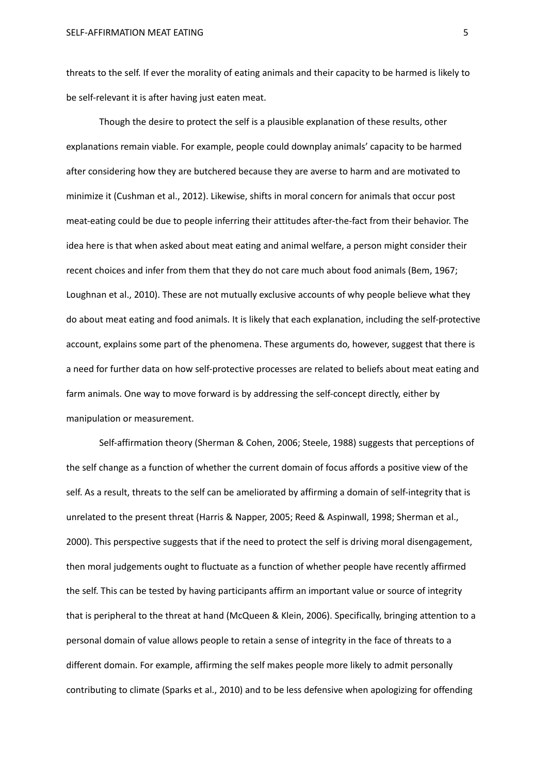threats to the self. If ever the morality of eating animals and their capacity to be harmed is likely to be self-relevant it is after having just eaten meat.

Though the desire to protect the self is a plausible explanation of these results, other explanations remain viable. For example, people could downplay animals' capacity to be harmed after considering how they are butchered because they are averse to harm and are motivated to minimize it (Cushman et al., 2012). Likewise, shifts in moral concern for animals that occur post meat-eating could be due to people inferring their attitudes after-the-fact from their behavior. The idea here is that when asked about meat eating and animal welfare, a person might consider their recent choices and infer from them that they do not care much about food animals (Bem, 1967; Loughnan et al., 2010). These are not mutually exclusive accounts of why people believe what they do about meat eating and food animals. It is likely that each explanation, including the self-protective account, explains some part of the phenomena. These arguments do, however, suggest that there is a need for further data on how self-protective processes are related to beliefs about meat eating and farm animals. One way to move forward is by addressing the self-concept directly, either by manipulation or measurement.

Self-affirmation theory (Sherman & Cohen, 2006; Steele, 1988) suggests that perceptions of the self change as a function of whether the current domain of focus affords a positive view of the self. As a result, threats to the self can be ameliorated by affirming a domain of self-integrity that is unrelated to the present threat (Harris & Napper, 2005; Reed & Aspinwall, 1998; Sherman et al., 2000). This perspective suggests that if the need to protect the self is driving moral disengagement, then moral judgements ought to fluctuate as a function of whether people have recently affirmed the self. This can be tested by having participants affirm an important value or source of integrity that is peripheral to the threat at hand (McQueen & Klein, 2006). Specifically, bringing attention to a personal domain of value allows people to retain a sense of integrity in the face of threats to a different domain. For example, affirming the self makes people more likely to admit personally contributing to climate (Sparks et al., 2010) and to be less defensive when apologizing for offending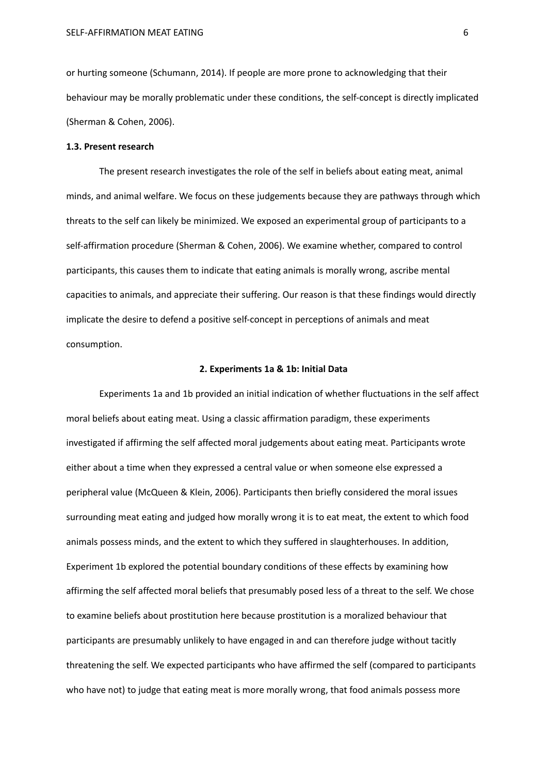or hurting someone (Schumann, 2014). If people are more prone to acknowledging that their behaviour may be morally problematic under these conditions, the self-concept is directly implicated (Sherman & Cohen, 2006).

#### **1.3. Present research**

The present research investigates the role of the self in beliefs about eating meat, animal minds, and animal welfare. We focus on these judgements because they are pathways through which threats to the self can likely be minimized. We exposed an experimental group of participants to a self-affirmation procedure (Sherman & Cohen, 2006). We examine whether, compared to control participants, this causes them to indicate that eating animals is morally wrong, ascribe mental capacities to animals, and appreciate their suffering. Our reason is that these findings would directly implicate the desire to defend a positive self-concept in perceptions of animals and meat consumption.

#### **2. Experiments 1a & 1b: Initial Data**

Experiments 1a and 1b provided an initial indication of whether fluctuations in the self affect moral beliefs about eating meat. Using a classic affirmation paradigm, these experiments investigated if affirming the self affected moral judgements about eating meat. Participants wrote either about a time when they expressed a central value or when someone else expressed a peripheral value (McQueen & Klein, 2006). Participants then briefly considered the moral issues surrounding meat eating and judged how morally wrong it is to eat meat, the extent to which food animals possess minds, and the extent to which they suffered in slaughterhouses. In addition, Experiment 1b explored the potential boundary conditions of these effects by examining how affirming the self affected moral beliefs that presumably posed less of a threat to the self. We chose to examine beliefs about prostitution here because prostitution is a moralized behaviour that participants are presumably unlikely to have engaged in and can therefore judge without tacitly threatening the self. We expected participants who have affirmed the self (compared to participants who have not) to judge that eating meat is more morally wrong, that food animals possess more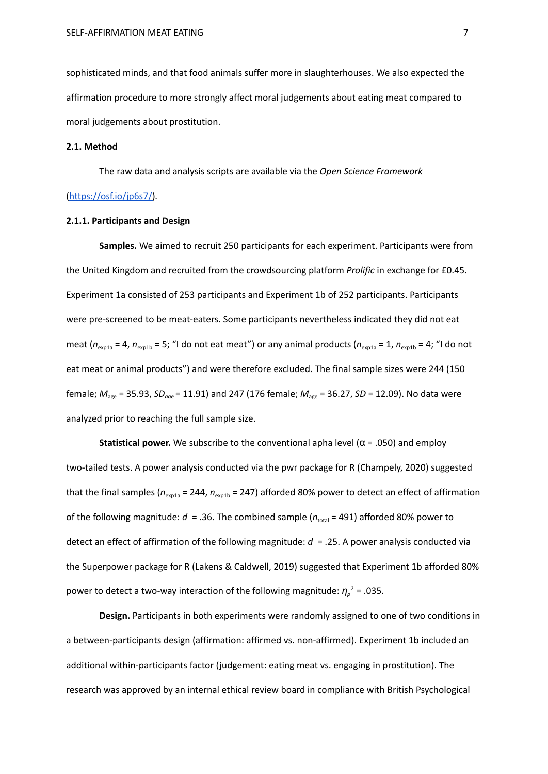sophisticated minds, and that food animals suffer more in slaughterhouses. We also expected the affirmation procedure to more strongly affect moral judgements about eating meat compared to moral judgements about prostitution.

#### **2.1. Method**

The raw data and analysis scripts are available via the *Open Science Framework*

#### [\(https://osf.io/jp6s7/\)](https://osf.io/jp6s7/)*.*

#### **2.1.1. Participants and Design**

**Samples.** We aimed to recruit 250 participants for each experiment. Participants were from the United Kingdom and recruited from the crowdsourcing platform *Prolific* in exchange for £0.45. Experiment 1a consisted of 253 participants and Experiment 1b of 252 participants. Participants were pre-screened to be meat-eaters. Some participants nevertheless indicated they did not eat meat ( $n_{\text{exp1a}}$  = 4,  $n_{\text{exp1b}}$  = 5; "I do not eat meat") or any animal products ( $n_{\text{exp1a}}$  = 1,  $n_{\text{exp1b}}$  = 4; "I do not eat meat or animal products") and were therefore excluded. The final sample sizes were 244 (150 female; *M*age = 35.93, *SDage* = 11.91) and 247 (176 female; *M*age = 36.27, *SD* = 12.09). No data were analyzed prior to reaching the full sample size.

**Statistical power.** We subscribe to the conventional apha level  $(\alpha = .050)$  and employ two-tailed tests. A power analysis conducted via the pwr package for R (Champely, 2020) suggested that the final samples ( $n_{\text{exola}}$  = 244,  $n_{\text{exath}}$  = 247) afforded 80% power to detect an effect of affirmation of the following magnitude:  $d = 0.36$ . The combined sample ( $n_{total} = 491$ ) afforded 80% power to detect an effect of affirmation of the following magnitude: *d* = .25. A power analysis conducted via the Superpower package for R (Lakens & Caldwell, 2019) suggested that Experiment 1b afforded 80% power to detect a two-way interaction of the following magnitude: *η<sup>p</sup> <sup>2</sup>* = .035.

**Design.** Participants in both experiments were randomly assigned to one of two conditions in a between-participants design (affirmation: affirmed vs. non-affirmed). Experiment 1b included an additional within-participants factor (judgement: eating meat vs. engaging in prostitution). The research was approved by an internal ethical review board in compliance with British Psychological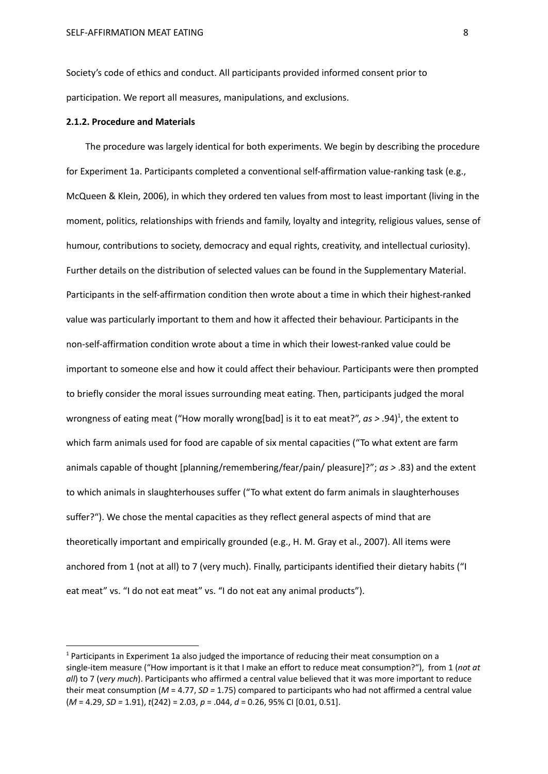Society's code of ethics and conduct. All participants provided informed consent prior to participation. We report all measures, manipulations, and exclusions.

#### **2.1.2. Procedure and Materials**

The procedure was largely identical for both experiments. We begin by describing the procedure for Experiment 1a. Participants completed a conventional self-affirmation value-ranking task (e.g., McQueen & Klein, 2006), in which they ordered ten values from most to least important (living in the moment, politics, relationships with friends and family, loyalty and integrity, religious values, sense of humour, contributions to society, democracy and equal rights, creativity, and intellectual curiosity). Further details on the distribution of selected values can be found in the Supplementary Material. Participants in the self-affirmation condition then wrote about a time in which their highest-ranked value was particularly important to them and how it affected their behaviour. Participants in the non-self-affirmation condition wrote about a time in which their lowest-ranked value could be important to someone else and how it could affect their behaviour. Participants were then prompted to briefly consider the moral issues surrounding meat eating. Then, participants judged the moral wrongness of eating meat ("How morally wrong[bad] is it to eat meat?", *as >* .94) 1 , the extent to which farm animals used for food are capable of six mental capacities ("To what extent are farm animals capable of thought [planning/remembering/fear/pain/ pleasure]?"; *as >* .83) and the extent to which animals in slaughterhouses suffer ("To what extent do farm animals in slaughterhouses suffer?"). We chose the mental capacities as they reflect general aspects of mind that are theoretically important and empirically grounded (e.g., H. M. Gray et al., 2007). All items were anchored from 1 (not at all) to 7 (very much). Finally, participants identified their dietary habits ("I eat meat" vs. "I do not eat meat" vs. "I do not eat any animal products").

 $<sup>1</sup>$  Participants in Experiment 1a also judged the importance of reducing their meat consumption on a</sup> single-item measure ("How important is it that I make an effort to reduce meat consumption?"), from 1 (*not at all*) to 7 (*very much*). Participants who affirmed a central value believed that it was more important to reduce their meat consumption (*M* = 4.77, *SD =* 1.75) compared to participants who had not affirmed a central value (*M* = 4.29, *SD =* 1.91), *t*(242) = 2.03, *p* = .044, *d* = 0.26, 95% CI [0.01, 0.51].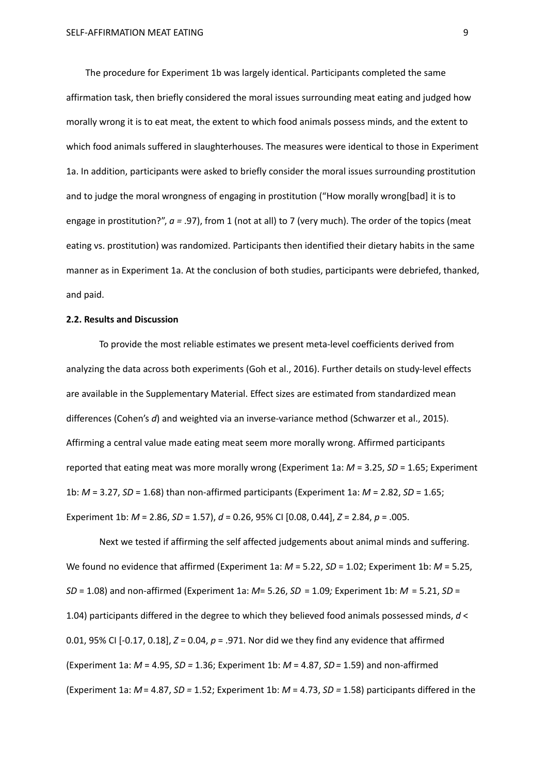The procedure for Experiment 1b was largely identical. Participants completed the same affirmation task, then briefly considered the moral issues surrounding meat eating and judged how morally wrong it is to eat meat, the extent to which food animals possess minds, and the extent to which food animals suffered in slaughterhouses. The measures were identical to those in Experiment 1a. In addition, participants were asked to briefly consider the moral issues surrounding prostitution and to judge the moral wrongness of engaging in prostitution ("How morally wrong[bad] it is to engage in prostitution?", *a =* .97), from 1 (not at all) to 7 (very much). The order of the topics (meat eating vs. prostitution) was randomized. Participants then identified their dietary habits in the same manner as in Experiment 1a. At the conclusion of both studies, participants were debriefed, thanked, and paid.

#### **2.2. Results and Discussion**

To provide the most reliable estimates we present meta-level coefficients derived from analyzing the data across both experiments (Goh et al., 2016). Further details on study-level effects are available in the Supplementary Material. Effect sizes are estimated from standardized mean differences (Cohen's *d*) and weighted via an inverse-variance method (Schwarzer et al., 2015). Affirming a central value made eating meat seem more morally wrong. Affirmed participants reported that eating meat was more morally wrong (Experiment 1a: *M* = 3.25, *SD* = 1.65; Experiment 1b: *M* = 3.27, *SD* = 1.68) than non-affirmed participants (Experiment 1a: *M* = 2.82, *SD* = 1.65; Experiment 1b: *M* = 2.86, *SD* = 1.57), *d* = 0.26, 95% CI [0.08, 0.44], *Z* = 2.84, *p* = .005.

Next we tested if affirming the self affected judgements about animal minds and suffering. We found no evidence that affirmed (Experiment 1a: *M* = 5.22, *SD* = 1.02; Experiment 1b: *M* = 5.25, *SD* = 1.08) and non-affirmed (Experiment 1a: *M*= 5.26, *SD* = 1.09*;* Experiment 1b: *M* = 5.21, *SD* = 1.04) participants differed in the degree to which they believed food animals possessed minds, *d* < 0.01, 95% CI [-0.17, 0.18], *Z* = 0.04, *p* = .971. Nor did we they find any evidence that affirmed (Experiment 1a: *M* = 4.95, *SD =* 1.36; Experiment 1b: *M* = 4.87, *SD=* 1.59) and non-affirmed (Experiment 1a: *M*= 4.87, *SD =* 1.52; Experiment 1b: *M* = 4.73, *SD =* 1.58) participants differed in the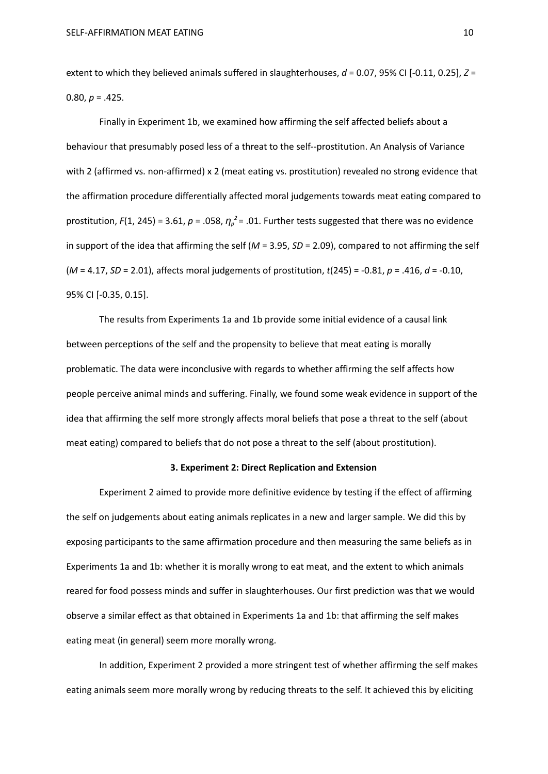extent to which they believed animals suffered in slaughterhouses,  $d = 0.07$ , 95% CI  $[-0.11, 0.25]$ ,  $Z =$ 0.80,  $p = .425$ .

Finally in Experiment 1b, we examined how affirming the self affected beliefs about a behaviour that presumably posed less of a threat to the self--prostitution. An Analysis of Variance with 2 (affirmed vs. non-affirmed) x 2 (meat eating vs. prostitution) revealed no strong evidence that the affirmation procedure differentially affected moral judgements towards meat eating compared to prostitution, *F*(1, 245) = 3.61, *p* = .058, *η<sup>p</sup> <sup>2</sup>* = .01. Further tests suggested that there was no evidence in support of the idea that affirming the self (*M* = 3.95, *SD* = 2.09), compared to not affirming the self (*M* = 4.17, *SD* = 2.01), affects moral judgements of prostitution, *t*(245) = -0.81, *p* = .416, *d* = -0.10, 95% CI [-0.35, 0.15].

The results from Experiments 1a and 1b provide some initial evidence of a causal link between perceptions of the self and the propensity to believe that meat eating is morally problematic. The data were inconclusive with regards to whether affirming the self affects how people perceive animal minds and suffering. Finally, we found some weak evidence in support of the idea that affirming the self more strongly affects moral beliefs that pose a threat to the self (about meat eating) compared to beliefs that do not pose a threat to the self (about prostitution).

#### **3. Experiment 2: Direct Replication and Extension**

Experiment 2 aimed to provide more definitive evidence by testing if the effect of affirming the self on judgements about eating animals replicates in a new and larger sample. We did this by exposing participants to the same affirmation procedure and then measuring the same beliefs as in Experiments 1a and 1b: whether it is morally wrong to eat meat, and the extent to which animals reared for food possess minds and suffer in slaughterhouses. Our first prediction was that we would observe a similar effect as that obtained in Experiments 1a and 1b: that affirming the self makes eating meat (in general) seem more morally wrong.

In addition, Experiment 2 provided a more stringent test of whether affirming the self makes eating animals seem more morally wrong by reducing threats to the self. It achieved this by eliciting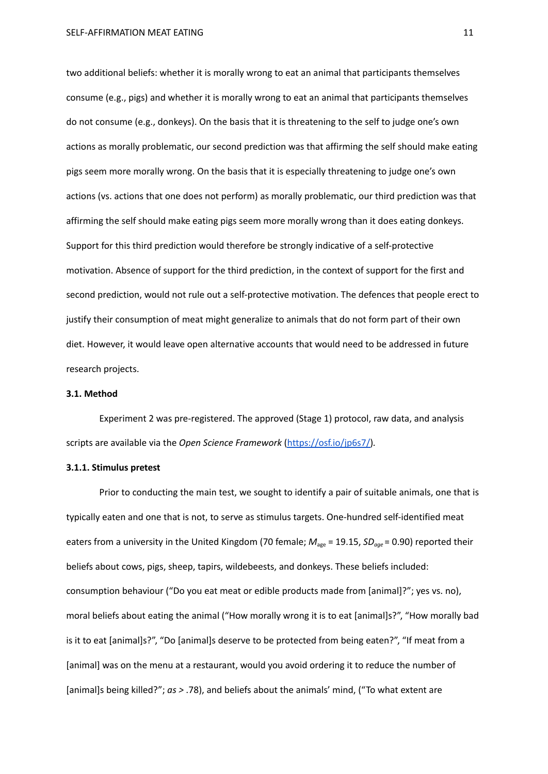two additional beliefs: whether it is morally wrong to eat an animal that participants themselves consume (e.g., pigs) and whether it is morally wrong to eat an animal that participants themselves do not consume (e.g., donkeys). On the basis that it is threatening to the self to judge one's own actions as morally problematic, our second prediction was that affirming the self should make eating pigs seem more morally wrong. On the basis that it is especially threatening to judge one's own actions (vs. actions that one does not perform) as morally problematic, our third prediction was that affirming the self should make eating pigs seem more morally wrong than it does eating donkeys. Support for this third prediction would therefore be strongly indicative of a self-protective motivation. Absence of support for the third prediction, in the context of support for the first and second prediction, would not rule out a self-protective motivation. The defences that people erect to justify their consumption of meat might generalize to animals that do not form part of their own diet. However, it would leave open alternative accounts that would need to be addressed in future research projects.

#### **3.1. Method**

Experiment 2 was pre-registered. The approved (Stage 1) protocol, raw data, and analysis scripts are available via the *Open Science Framework* [\(https://osf.io/jp6s7/\)](https://osf.io/jp6s7/)*.*

#### **3.1.1. Stimulus pretest**

Prior to conducting the main test, we sought to identify a pair of suitable animals, one that is typically eaten and one that is not, to serve as stimulus targets. One-hundred self-identified meat eaters from a university in the United Kingdom (70 female;  $M_{\text{age}}$  = 19.15, *SD<sub>age</sub>* = 0.90) reported their beliefs about cows, pigs, sheep, tapirs, wildebeests, and donkeys. These beliefs included: consumption behaviour ("Do you eat meat or edible products made from [animal]?"; yes vs. no), moral beliefs about eating the animal ("How morally wrong it is to eat [animal]s?", "How morally bad is it to eat [animal]s?", "Do [animal]s deserve to be protected from being eaten?", "If meat from a [animal] was on the menu at a restaurant, would you avoid ordering it to reduce the number of [animal]s being killed?"; *as >* .78), and beliefs about the animals' mind, ("To what extent are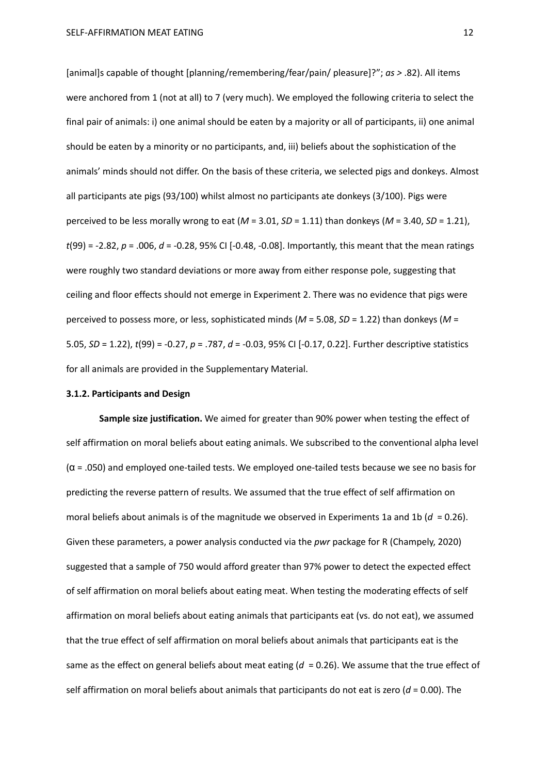[animal]s capable of thought [planning/remembering/fear/pain/ pleasure]?"; *as >* .82). All items were anchored from 1 (not at all) to 7 (very much). We employed the following criteria to select the final pair of animals: i) one animal should be eaten by a majority or all of participants, ii) one animal should be eaten by a minority or no participants, and, iii) beliefs about the sophistication of the animals' minds should not differ. On the basis of these criteria, we selected pigs and donkeys. Almost all participants ate pigs (93/100) whilst almost no participants ate donkeys (3/100). Pigs were perceived to be less morally wrong to eat  $(M = 3.01, SD = 1.11)$  than donkeys  $(M = 3.40, SD = 1.21)$ , *t*(99) = -2.82, *p* = .006, *d* = -0.28, 95% CI [-0.48, -0.08]. Importantly, this meant that the mean ratings were roughly two standard deviations or more away from either response pole, suggesting that ceiling and floor effects should not emerge in Experiment 2. There was no evidence that pigs were perceived to possess more, or less, sophisticated minds (*M* = 5.08, *SD* = 1.22) than donkeys (*M* = 5.05, *SD* = 1.22), *t*(99) = -0.27, *p* = .787, *d* = -0.03, 95% CI [-0.17, 0.22]. Further descriptive statistics for all animals are provided in the Supplementary Material.

#### **3.1.2. Participants and Design**

**Sample size justification.** We aimed for greater than 90% power when testing the effect of self affirmation on moral beliefs about eating animals. We subscribed to the conventional alpha level (α = .050) and employed one-tailed tests. We employed one-tailed tests because we see no basis for predicting the reverse pattern of results. We assumed that the true effect of self affirmation on moral beliefs about animals is of the magnitude we observed in Experiments 1a and 1b (*d* = 0.26). Given these parameters, a power analysis conducted via the *pwr* package for R (Champely, 2020) suggested that a sample of 750 would afford greater than 97% power to detect the expected effect of self affirmation on moral beliefs about eating meat. When testing the moderating effects of self affirmation on moral beliefs about eating animals that participants eat (vs. do not eat), we assumed that the true effect of self affirmation on moral beliefs about animals that participants eat is the same as the effect on general beliefs about meat eating  $(d = 0.26)$ . We assume that the true effect of self affirmation on moral beliefs about animals that participants do not eat is zero ( $d = 0.00$ ). The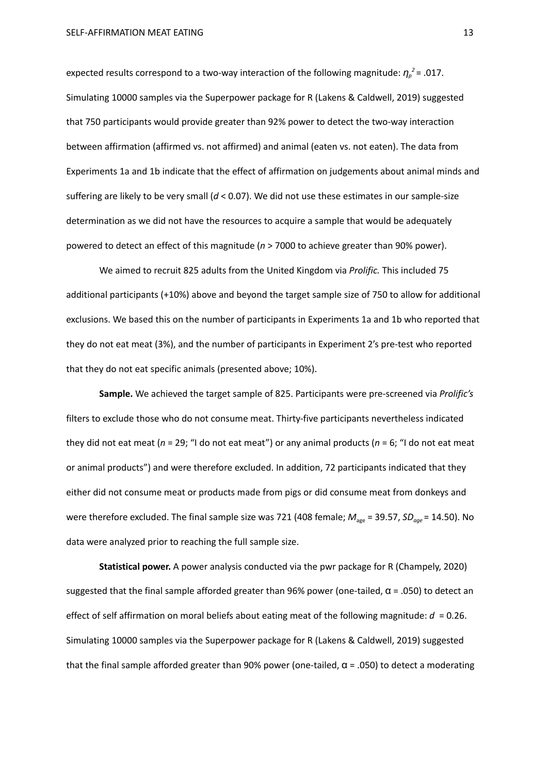expected results correspond to a two-way interaction of the following magnitude: *η<sup>p</sup> <sup>2</sup>* = .017. Simulating 10000 samples via the Superpower package for R (Lakens & Caldwell, 2019) suggested that 750 participants would provide greater than 92% power to detect the two-way interaction between affirmation (affirmed vs. not affirmed) and animal (eaten vs. not eaten). The data from Experiments 1a and 1b indicate that the effect of affirmation on judgements about animal minds and suffering are likely to be very small (*d* < 0.07). We did not use these estimates in our sample-size determination as we did not have the resources to acquire a sample that would be adequately powered to detect an effect of this magnitude (*n* > 7000 to achieve greater than 90% power).

We aimed to recruit 825 adults from the United Kingdom via *Prolific.* This included 75 additional participants (+10%) above and beyond the target sample size of 750 to allow for additional exclusions. We based this on the number of participants in Experiments 1a and 1b who reported that they do not eat meat (3%), and the number of participants in Experiment 2's pre-test who reported that they do not eat specific animals (presented above; 10%).

**Sample.** We achieved the target sample of 825. Participants were pre-screened via *Prolific's* filters to exclude those who do not consume meat. Thirty-five participants nevertheless indicated they did not eat meat (*n* = 29; "I do not eat meat") or any animal products (*n* = 6; "I do not eat meat or animal products") and were therefore excluded. In addition, 72 participants indicated that they either did not consume meat or products made from pigs or did consume meat from donkeys and were therefore excluded. The final sample size was 721 (408 female;  $M_{\text{age}}$  = 39.57, *SD<sub>age</sub>* = 14.50). No data were analyzed prior to reaching the full sample size.

**Statistical power.** A power analysis conducted via the pwr package for R (Champely, 2020) suggested that the final sample afforded greater than 96% power (one-tailed,  $\alpha$  = .050) to detect an effect of self affirmation on moral beliefs about eating meat of the following magnitude:  $d = 0.26$ . Simulating 10000 samples via the Superpower package for R (Lakens & Caldwell, 2019) suggested that the final sample afforded greater than 90% power (one-tailed,  $\alpha$  = .050) to detect a moderating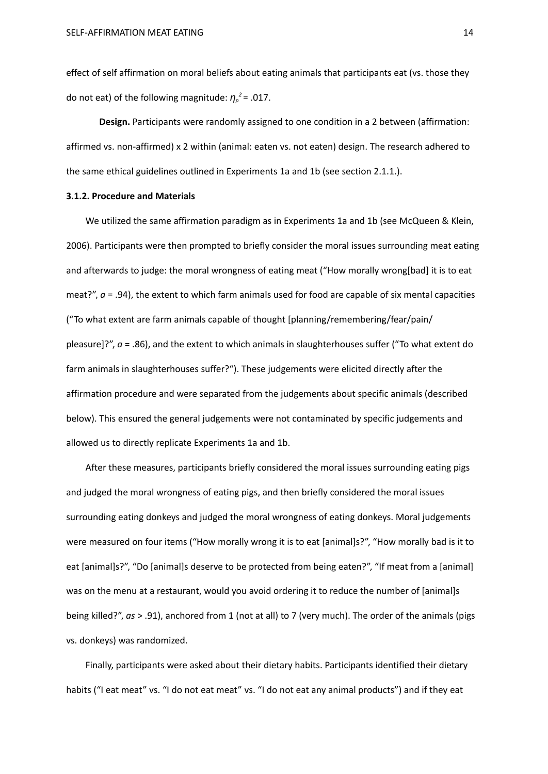effect of self affirmation on moral beliefs about eating animals that participants eat (vs. those they do not eat) of the following magnitude: *η<sup>p</sup> <sup>2</sup>* = .017.

**Design.** Participants were randomly assigned to one condition in a 2 between (affirmation: affirmed vs. non-affirmed) x 2 within (animal: eaten vs. not eaten) design. The research adhered to the same ethical guidelines outlined in Experiments 1a and 1b (see section 2.1.1.).

#### **3.1.2. Procedure and Materials**

We utilized the same affirmation paradigm as in Experiments 1a and 1b (see McQueen & Klein, 2006). Participants were then prompted to briefly consider the moral issues surrounding meat eating and afterwards to judge: the moral wrongness of eating meat ("How morally wrong[bad] it is to eat meat?",  $a = .94$ ), the extent to which farm animals used for food are capable of six mental capacities ("To what extent are farm animals capable of thought [planning/remembering/fear/pain/ pleasure]?", *a* = .86), and the extent to which animals in slaughterhouses suffer ("To what extent do farm animals in slaughterhouses suffer?"). These judgements were elicited directly after the affirmation procedure and were separated from the judgements about specific animals (described below). This ensured the general judgements were not contaminated by specific judgements and allowed us to directly replicate Experiments 1a and 1b.

After these measures, participants briefly considered the moral issues surrounding eating pigs and judged the moral wrongness of eating pigs, and then briefly considered the moral issues surrounding eating donkeys and judged the moral wrongness of eating donkeys. Moral judgements were measured on four items ("How morally wrong it is to eat [animal]s?", "How morally bad is it to eat [animal]s?", "Do [animal]s deserve to be protected from being eaten?", "If meat from a [animal] was on the menu at a restaurant, would you avoid ordering it to reduce the number of [animal]s being killed?", *as* > .91), anchored from 1 (not at all) to 7 (very much). The order of the animals (pigs vs. donkeys) was randomized.

Finally, participants were asked about their dietary habits. Participants identified their dietary habits ("I eat meat" vs. "I do not eat meat" vs. "I do not eat any animal products") and if they eat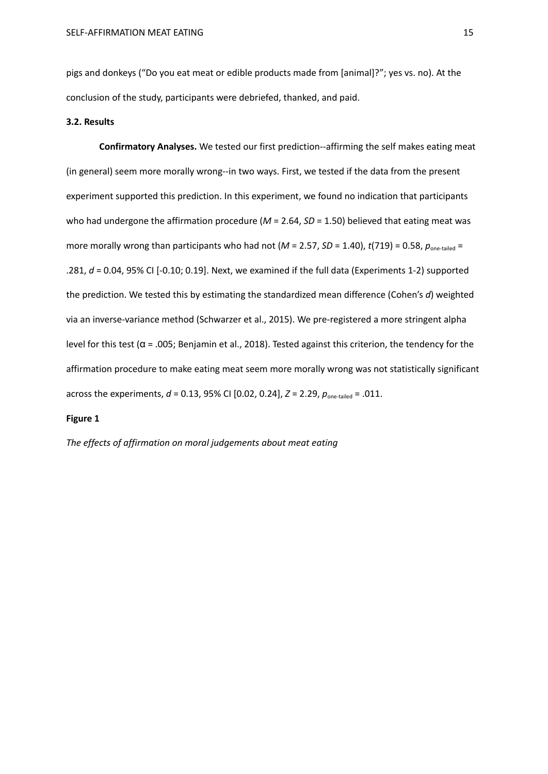pigs and donkeys ("Do you eat meat or edible products made from [animal]?"; yes vs. no). At the conclusion of the study, participants were debriefed, thanked, and paid.

#### **3.2. Results**

**Confirmatory Analyses.** We tested our first prediction--affirming the self makes eating meat (in general) seem more morally wrong--in two ways. First, we tested if the data from the present experiment supported this prediction. In this experiment, we found no indication that participants who had undergone the affirmation procedure ( $M = 2.64$ ,  $SD = 1.50$ ) believed that eating meat was more morally wrong than participants who had not ( $M = 2.57$ ,  $SD = 1.40$ ),  $t(719) = 0.58$ ,  $p_{one-tailed} =$ .281, *d* = 0.04, 95% CI [-0.10; 0.19]. Next, we examined if the full data (Experiments 1-2) supported the prediction. We tested this by estimating the standardized mean difference (Cohen's *d*) weighted via an inverse-variance method (Schwarzer et al., 2015). We pre-registered a more stringent alpha level for this test ( $α = .005$ ; Benjamin et al., 2018). Tested against this criterion, the tendency for the affirmation procedure to make eating meat seem more morally wrong was not statistically significant across the experiments, *d* = 0.13, 95% CI [0.02, 0.24], *Z* = 2.29, *p*one-tailed = .011.

#### **Figure 1**

*The effects of affirmation on moral judgements about meat eating*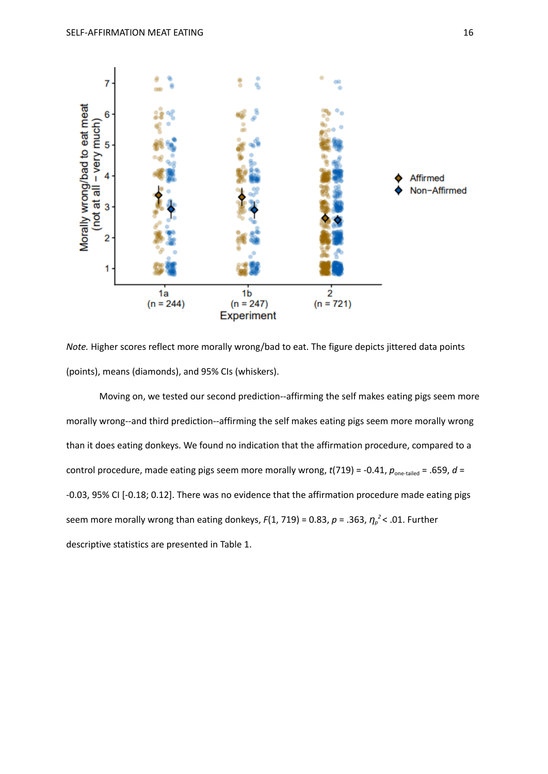

*Note.* Higher scores reflect more morally wrong/bad to eat. The figure depicts jittered data points (points), means (diamonds), and 95% CIs (whiskers).

Moving on, we tested our second prediction--affirming the self makes eating pigs seem more morally wrong--and third prediction--affirming the self makes eating pigs seem more morally wrong than it does eating donkeys. We found no indication that the affirmation procedure, compared to a control procedure, made eating pigs seem more morally wrong,  $t(719) = -0.41$ ,  $p_{one-tailed} = .659$ ,  $d =$ -0.03, 95% CI [-0.18; 0.12]. There was no evidence that the affirmation procedure made eating pigs seem more morally wrong than eating donkeys, *F*(1, 719) = 0.83, *p* = .363, *η<sup>p</sup> <sup>2</sup>* < .01. Further descriptive statistics are presented in Table 1.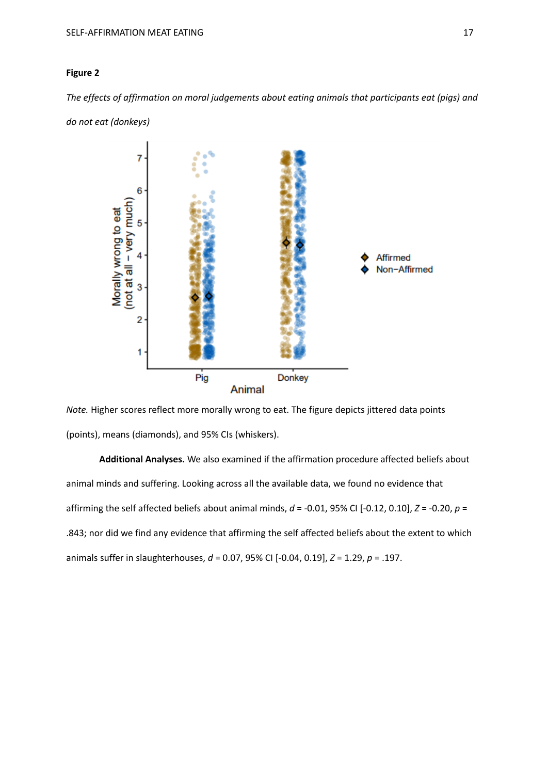#### **Figure 2**

*The effects of affirmation on moral judgements about eating animals that participants eat (pigs) and*



*do not eat (donkeys)*

*Note.* Higher scores reflect more morally wrong to eat. The figure depicts jittered data points (points), means (diamonds), and 95% CIs (whiskers).

**Additional Analyses.** We also examined if the affirmation procedure affected beliefs about animal minds and suffering. Looking across all the available data, we found no evidence that affirming the self affected beliefs about animal minds, *d* = -0.01, 95% CI [-0.12, 0.10], *Z* = -0.20, *p* = .843; nor did we find any evidence that affirming the self affected beliefs about the extent to which animals suffer in slaughterhouses, *d* = 0.07, 95% CI [-0.04, 0.19], *Z* = 1.29, *p* = .197.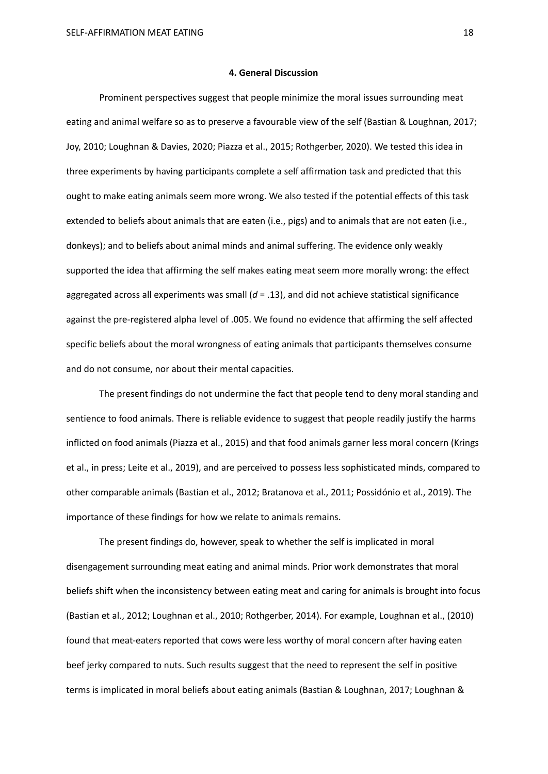#### **4. General Discussion**

Prominent perspectives suggest that people minimize the moral issues surrounding meat eating and animal welfare so as to preserve a favourable view of the self (Bastian & Loughnan, 2017; Joy, 2010; Loughnan & Davies, 2020; Piazza et al., 2015; Rothgerber, 2020). We tested this idea in three experiments by having participants complete a self affirmation task and predicted that this ought to make eating animals seem more wrong. We also tested if the potential effects of this task extended to beliefs about animals that are eaten (i.e., pigs) and to animals that are not eaten (i.e., donkeys); and to beliefs about animal minds and animal suffering. The evidence only weakly supported the idea that affirming the self makes eating meat seem more morally wrong: the effect aggregated across all experiments was small  $(d = .13)$ , and did not achieve statistical significance against the pre-registered alpha level of .005. We found no evidence that affirming the self affected specific beliefs about the moral wrongness of eating animals that participants themselves consume and do not consume, nor about their mental capacities.

The present findings do not undermine the fact that people tend to deny moral standing and sentience to food animals. There is reliable evidence to suggest that people readily justify the harms inflicted on food animals (Piazza et al., 2015) and that food animals garner less moral concern (Krings et al., in press; Leite et al., 2019), and are perceived to possess less sophisticated minds, compared to other comparable animals (Bastian et al., 2012; Bratanova et al., 2011; Possidónio et al., 2019). The importance of these findings for how we relate to animals remains.

The present findings do, however, speak to whether the self is implicated in moral disengagement surrounding meat eating and animal minds. Prior work demonstrates that moral beliefs shift when the inconsistency between eating meat and caring for animals is brought into focus (Bastian et al., 2012; Loughnan et al., 2010; Rothgerber, 2014). For example, Loughnan et al., (2010) found that meat-eaters reported that cows were less worthy of moral concern after having eaten beef jerky compared to nuts. Such results suggest that the need to represent the self in positive terms is implicated in moral beliefs about eating animals (Bastian & Loughnan, 2017; Loughnan &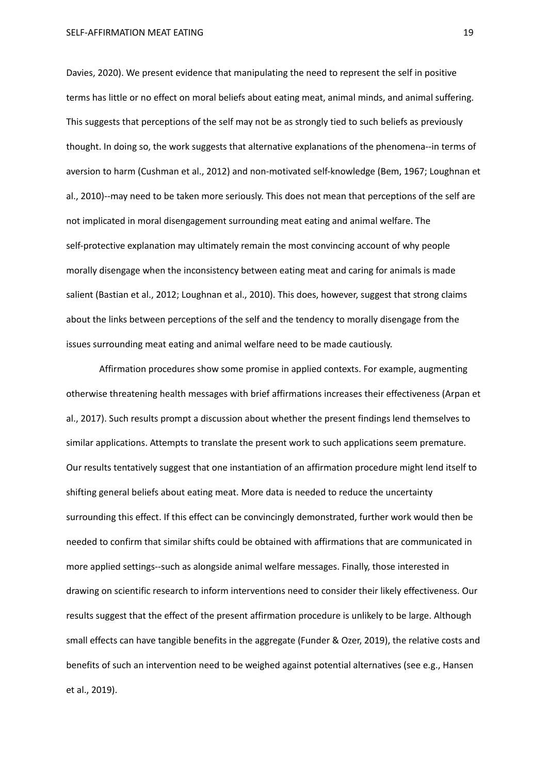Davies, 2020). We present evidence that manipulating the need to represent the self in positive terms has little or no effect on moral beliefs about eating meat, animal minds, and animal suffering. This suggests that perceptions of the self may not be as strongly tied to such beliefs as previously thought. In doing so, the work suggests that alternative explanations of the phenomena--in terms of aversion to harm (Cushman et al., 2012) and non-motivated self-knowledge (Bem, 1967; Loughnan et al., 2010)--may need to be taken more seriously. This does not mean that perceptions of the self are not implicated in moral disengagement surrounding meat eating and animal welfare. The self-protective explanation may ultimately remain the most convincing account of why people morally disengage when the inconsistency between eating meat and caring for animals is made salient (Bastian et al., 2012; Loughnan et al., 2010). This does, however, suggest that strong claims about the links between perceptions of the self and the tendency to morally disengage from the issues surrounding meat eating and animal welfare need to be made cautiously.

Affirmation procedures show some promise in applied contexts. For example, augmenting otherwise threatening health messages with brief affirmations increases their effectiveness (Arpan et al., 2017). Such results prompt a discussion about whether the present findings lend themselves to similar applications. Attempts to translate the present work to such applications seem premature. Our results tentatively suggest that one instantiation of an affirmation procedure might lend itself to shifting general beliefs about eating meat. More data is needed to reduce the uncertainty surrounding this effect. If this effect can be convincingly demonstrated, further work would then be needed to confirm that similar shifts could be obtained with affirmations that are communicated in more applied settings--such as alongside animal welfare messages. Finally, those interested in drawing on scientific research to inform interventions need to consider their likely effectiveness. Our results suggest that the effect of the present affirmation procedure is unlikely to be large. Although small effects can have tangible benefits in the aggregate (Funder & Ozer, 2019), the relative costs and benefits of such an intervention need to be weighed against potential alternatives (see e.g., Hansen et al., 2019).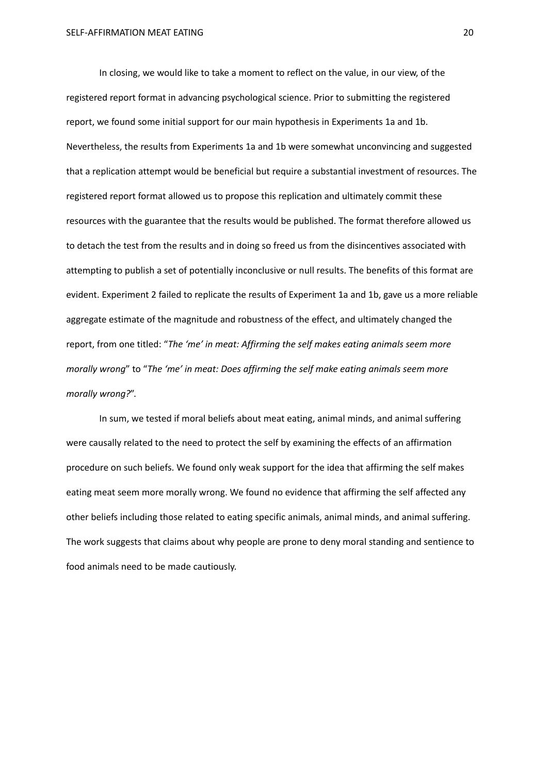In closing, we would like to take a moment to reflect on the value, in our view, of the registered report format in advancing psychological science. Prior to submitting the registered report, we found some initial support for our main hypothesis in Experiments 1a and 1b. Nevertheless, the results from Experiments 1a and 1b were somewhat unconvincing and suggested that a replication attempt would be beneficial but require a substantial investment of resources. The registered report format allowed us to propose this replication and ultimately commit these resources with the guarantee that the results would be published. The format therefore allowed us to detach the test from the results and in doing so freed us from the disincentives associated with attempting to publish a set of potentially inconclusive or null results. The benefits of this format are evident. Experiment 2 failed to replicate the results of Experiment 1a and 1b, gave us a more reliable aggregate estimate of the magnitude and robustness of the effect, and ultimately changed the report, from one titled: "*The 'me' in meat: Affirming the self makes eating animals seem more morally wrong*" to "*The 'me' in meat: Does affirming the self make eating animals seem more morally wrong?*".

In sum, we tested if moral beliefs about meat eating, animal minds, and animal suffering were causally related to the need to protect the self by examining the effects of an affirmation procedure on such beliefs. We found only weak support for the idea that affirming the self makes eating meat seem more morally wrong. We found no evidence that affirming the self affected any other beliefs including those related to eating specific animals, animal minds, and animal suffering. The work suggests that claims about why people are prone to deny moral standing and sentience to food animals need to be made cautiously.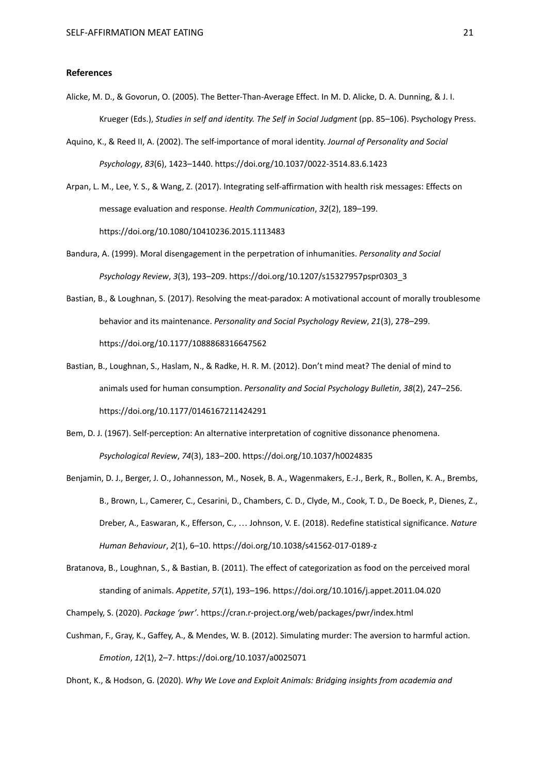#### **References**

- Alicke, M. D., & Govorun, O. (2005). The Better-Than-Average Effect. In M. D. Alicke, D. A. Dunning, & J. I. Krueger (Eds.), *Studies in self and identity. The Self in Social Judgment* (pp. 85–106). Psychology Press.
- Aquino, K., & Reed II, A. (2002). The self-importance of moral identity. *Journal of Personality and Social Psychology*, *83*(6), 1423–1440. https://doi.org/10.1037/0022-3514.83.6.1423
- Arpan, L. M., Lee, Y. S., & Wang, Z. (2017). Integrating self-affirmation with health risk messages: Effects on message evaluation and response. *Health Communication*, *32*(2), 189–199. https://doi.org/10.1080/10410236.2015.1113483
- Bandura, A. (1999). Moral disengagement in the perpetration of inhumanities. *Personality and Social Psychology Review*, *3*(3), 193–209. https://doi.org/10.1207/s15327957pspr0303\_3
- Bastian, B., & Loughnan, S. (2017). Resolving the meat-paradox: A motivational account of morally troublesome behavior and its maintenance. *Personality and Social Psychology Review*, *21*(3), 278–299. https://doi.org/10.1177/1088868316647562
- Bastian, B., Loughnan, S., Haslam, N., & Radke, H. R. M. (2012). Don't mind meat? The denial of mind to animals used for human consumption. *Personality and Social Psychology Bulletin*, *38*(2), 247–256. https://doi.org/10.1177/0146167211424291
- Bem, D. J. (1967). Self-perception: An alternative interpretation of cognitive dissonance phenomena. *Psychological Review*, *74*(3), 183–200. https://doi.org/10.1037/h0024835
- Benjamin, D. J., Berger, J. O., Johannesson, M., Nosek, B. A., Wagenmakers, E.-J., Berk, R., Bollen, K. A., Brembs, B., Brown, L., Camerer, C., Cesarini, D., Chambers, C. D., Clyde, M., Cook, T. D., De Boeck, P., Dienes, Z., Dreber, A., Easwaran, K., Efferson, C., … Johnson, V. E. (2018). Redefine statistical significance. *Nature Human Behaviour*, *2*(1), 6–10. https://doi.org/10.1038/s41562-017-0189-z
- Bratanova, B., Loughnan, S., & Bastian, B. (2011). The effect of categorization as food on the perceived moral standing of animals. *Appetite*, *57*(1), 193–196. https://doi.org/10.1016/j.appet.2011.04.020

Champely, S. (2020). *Package 'pwr'*. https://cran.r-project.org/web/packages/pwr/index.html

Cushman, F., Gray, K., Gaffey, A., & Mendes, W. B. (2012). Simulating murder: The aversion to harmful action. *Emotion*, *12*(1), 2–7. https://doi.org/10.1037/a0025071

Dhont, K., & Hodson, G. (2020). *Why We Love and Exploit Animals: Bridging insights from academia and*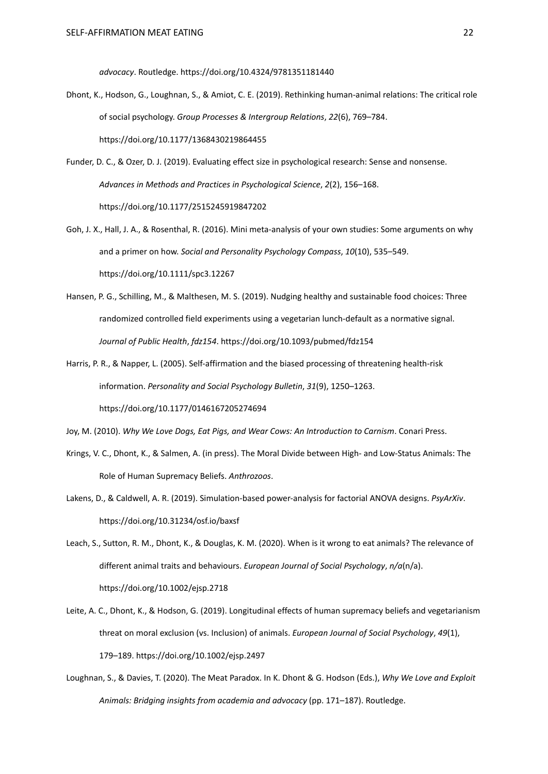*advocacy*. Routledge. https://doi.org/10.4324/9781351181440

- Dhont, K., Hodson, G., Loughnan, S., & Amiot, C. E. (2019). Rethinking human-animal relations: The critical role of social psychology. *Group Processes & Intergroup Relations*, *22*(6), 769–784. https://doi.org/10.1177/1368430219864455
- Funder, D. C., & Ozer, D. J. (2019). Evaluating effect size in psychological research: Sense and nonsense. *Advances in Methods and Practices in Psychological Science*, *2*(2), 156–168. https://doi.org/10.1177/2515245919847202
- Goh, J. X., Hall, J. A., & Rosenthal, R. (2016). Mini meta‐analysis of your own studies: Some arguments on why and a primer on how. *Social and Personality Psychology Compass*, *10*(10), 535–549. https://doi.org/10.1111/spc3.12267
- Hansen, P. G., Schilling, M., & Malthesen, M. S. (2019). Nudging healthy and sustainable food choices: Three randomized controlled field experiments using a vegetarian lunch-default as a normative signal. *Journal of Public Health*, *fdz154*. https://doi.org/10.1093/pubmed/fdz154
- Harris, P. R., & Napper, L. (2005). Self-affirmation and the biased processing of threatening health-risk information. *Personality and Social Psychology Bulletin*, *31*(9), 1250–1263. https://doi.org/10.1177/0146167205274694
- Joy, M. (2010). *Why We Love Dogs, Eat Pigs, and Wear Cows: An Introduction to Carnism*. Conari Press.
- Krings, V. C., Dhont, K., & Salmen, A. (in press). The Moral Divide between High- and Low-Status Animals: The Role of Human Supremacy Beliefs. *Anthrozoos*.
- Lakens, D., & Caldwell, A. R. (2019). Simulation-based power-analysis for factorial ANOVA designs. *PsyArXiv*. https://doi.org/10.31234/osf.io/baxsf
- Leach, S., Sutton, R. M., Dhont, K., & Douglas, K. M. (2020). When is it wrong to eat animals? The relevance of different animal traits and behaviours. *European Journal of Social Psychology*, *n/a*(n/a). https://doi.org/10.1002/ejsp.2718
- Leite, A. C., Dhont, K., & Hodson, G. (2019). Longitudinal effects of human supremacy beliefs and vegetarianism threat on moral exclusion (vs. Inclusion) of animals. *European Journal of Social Psychology*, *49*(1), 179–189. https://doi.org/10.1002/ejsp.2497
- Loughnan, S., & Davies, T. (2020). The Meat Paradox. In K. Dhont & G. Hodson (Eds.), *Why We Love and Exploit Animals: Bridging insights from academia and advocacy* (pp. 171–187). Routledge.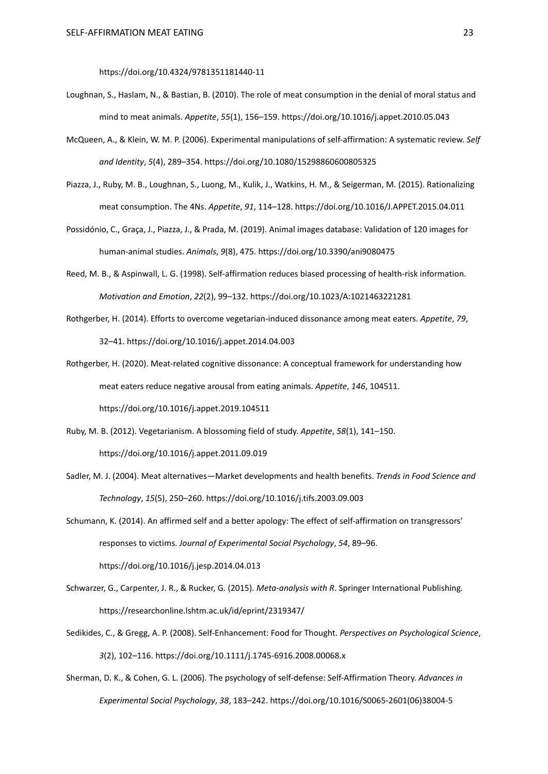https://doi.org/10.4324/9781351181440-11

- Loughnan, S., Haslam, N., & Bastian, B. (2010). The role of meat consumption in the denial of moral status and mind to meat animals. *Appetite*, *55*(1), 156–159. https://doi.org/10.1016/j.appet.2010.05.043
- McQueen, A., & Klein, W. M. P. (2006). Experimental manipulations of self-affirmation: A systematic review. *Self and Identity*, *5*(4), 289–354. https://doi.org/10.1080/15298860600805325
- Piazza, J., Ruby, M. B., Loughnan, S., Luong, M., Kulik, J., Watkins, H. M., & Seigerman, M. (2015). Rationalizing meat consumption. The 4Ns. *Appetite*, *91*, 114–128. https://doi.org/10.1016/J.APPET.2015.04.011
- Possidónio, C., Graça, J., Piazza, J., & Prada, M. (2019). Animal images database: Validation of 120 images for human-animal studies. *Animals*, *9*(8), 475. https://doi.org/10.3390/ani9080475
- Reed, M. B., & Aspinwall, L. G. (1998). Self-affirmation reduces biased processing of health-risk information. *Motivation and Emotion*, *22*(2), 99–132. https://doi.org/10.1023/A:1021463221281
- Rothgerber, H. (2014). Efforts to overcome vegetarian-induced dissonance among meat eaters. *Appetite*, *79*, 32–41. https://doi.org/10.1016/j.appet.2014.04.003
- Rothgerber, H. (2020). Meat-related cognitive dissonance: A conceptual framework for understanding how meat eaters reduce negative arousal from eating animals. *Appetite*, *146*, 104511. https://doi.org/10.1016/j.appet.2019.104511
- Ruby, M. B. (2012). Vegetarianism. A blossoming field of study. *Appetite*, *58*(1), 141–150. https://doi.org/10.1016/j.appet.2011.09.019
- Sadler, M. J. (2004). Meat alternatives—Market developments and health benefits. *Trends in Food Science and Technology*, *15*(5), 250–260. https://doi.org/10.1016/j.tifs.2003.09.003
- Schumann, K. (2014). An affirmed self and a better apology: The effect of self-affirmation on transgressors' responses to victims. *Journal of Experimental Social Psychology*, *54*, 89–96. https://doi.org/10.1016/j.jesp.2014.04.013
- Schwarzer, G., Carpenter, J. R., & Rucker, G. (2015). *Meta-analysis with R*. Springer International Publishing. https://researchonline.lshtm.ac.uk/id/eprint/2319347/
- Sedikides, C., & Gregg, A. P. (2008). Self-Enhancement: Food for Thought. *Perspectives on Psychological Science*, *3*(2), 102–116. https://doi.org/10.1111/j.1745-6916.2008.00068.x
- Sherman, D. K., & Cohen, G. L. (2006). The psychology of self-defense: Self-Affirmation Theory. *Advances in Experimental Social Psychology*, *38*, 183–242. https://doi.org/10.1016/S0065-2601(06)38004-5